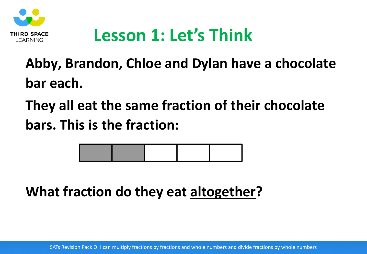

# **Lesson 1: Let's Think**

## **Abby, Brandon, Chloe and Dylan have a chocolate bar each.**

**They all eat the same fraction of their chocolate bars. This is the fraction:**



**What fraction do they eat altogether?**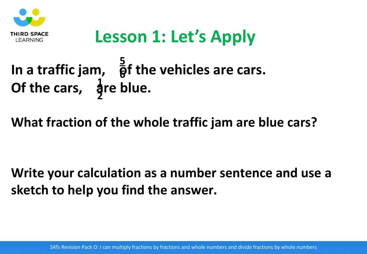

# **Lesson 1: Let's Apply**

#### In a traffic jam,  $\frac{3}{9}$ f the vehicles are cars. Of the cars, are blue. **5 6 1 2**

#### **What fraction of the whole traffic jam are blue cars?**

#### **Write your calculation as a number sentence and use a sketch to help you find the answer.**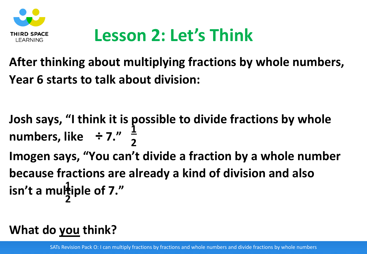

# **Lesson 2: Let's Think**

#### **After thinking about multiplying fractions by whole numbers, Year 6 starts to talk about division:**

**Josh says, "I think it is possible to divide fractions by whole numbers, like ÷ 7." Imogen says, "You can't divide a fraction by a whole number because fractions are already a kind of division and also**  isn't a multiple of 7." **1 2 1 2**

#### **What do you think?**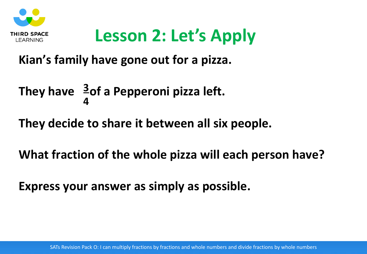

# **Lesson 2: Let's Apply**

**Kian's family have gone out for a pizza.**

#### They have  $\frac{3}{2}$ of a Pepperoni pizza left. **4**

**They decide to share it between all six people.**

**What fraction of the whole pizza will each person have?**

**Express your answer as simply as possible.**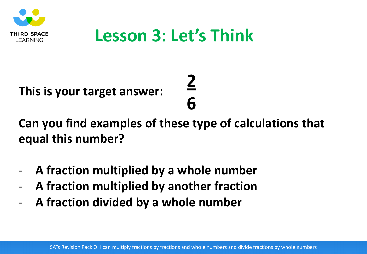

## **Lesson 3: Let's Think**

**2** 

**6**

**This is your target answer:**

**Can you find examples of these type of calculations that equal this number?**

- **A fraction multiplied by a whole number**
- **A fraction multiplied by another fraction**
- **A fraction divided by a whole number**